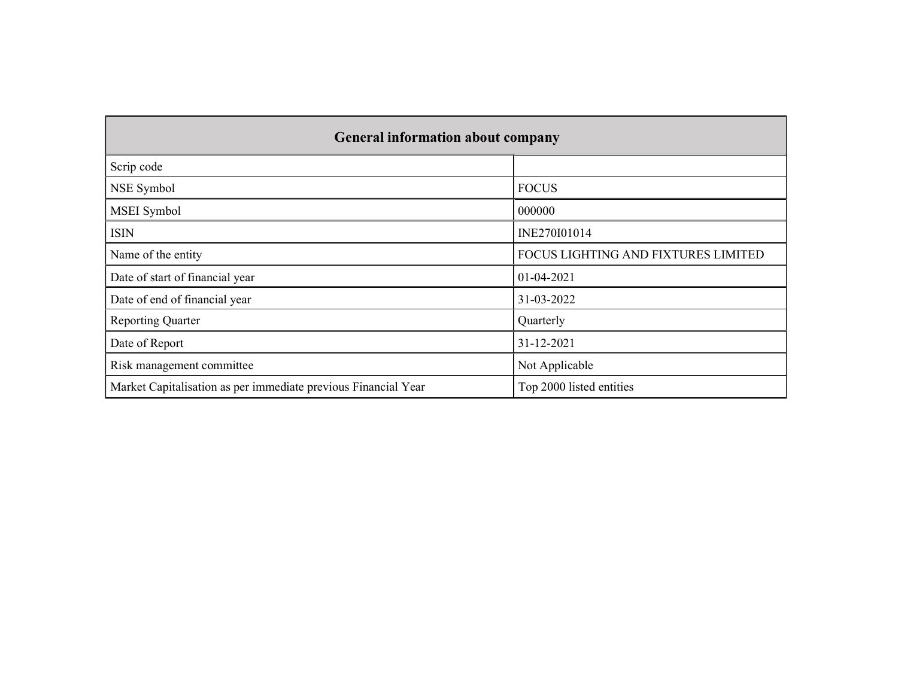|                                                                | <b>General information about company</b> |  |  |  |  |  |  |  |
|----------------------------------------------------------------|------------------------------------------|--|--|--|--|--|--|--|
| Scrip code                                                     |                                          |  |  |  |  |  |  |  |
| NSE Symbol                                                     | <b>FOCUS</b>                             |  |  |  |  |  |  |  |
| MSEI Symbol                                                    | 000000                                   |  |  |  |  |  |  |  |
| <b>ISIN</b>                                                    | INE270I01014                             |  |  |  |  |  |  |  |
| Name of the entity                                             | FOCUS LIGHTING AND FIXTURES LIMITED      |  |  |  |  |  |  |  |
| Date of start of financial year                                | 01-04-2021                               |  |  |  |  |  |  |  |
| Date of end of financial year                                  | 31-03-2022                               |  |  |  |  |  |  |  |
| <b>Reporting Quarter</b>                                       | Quarterly                                |  |  |  |  |  |  |  |
| Date of Report                                                 | 31-12-2021                               |  |  |  |  |  |  |  |
| Risk management committee                                      | Not Applicable                           |  |  |  |  |  |  |  |
| Market Capitalisation as per immediate previous Financial Year | Top 2000 listed entities                 |  |  |  |  |  |  |  |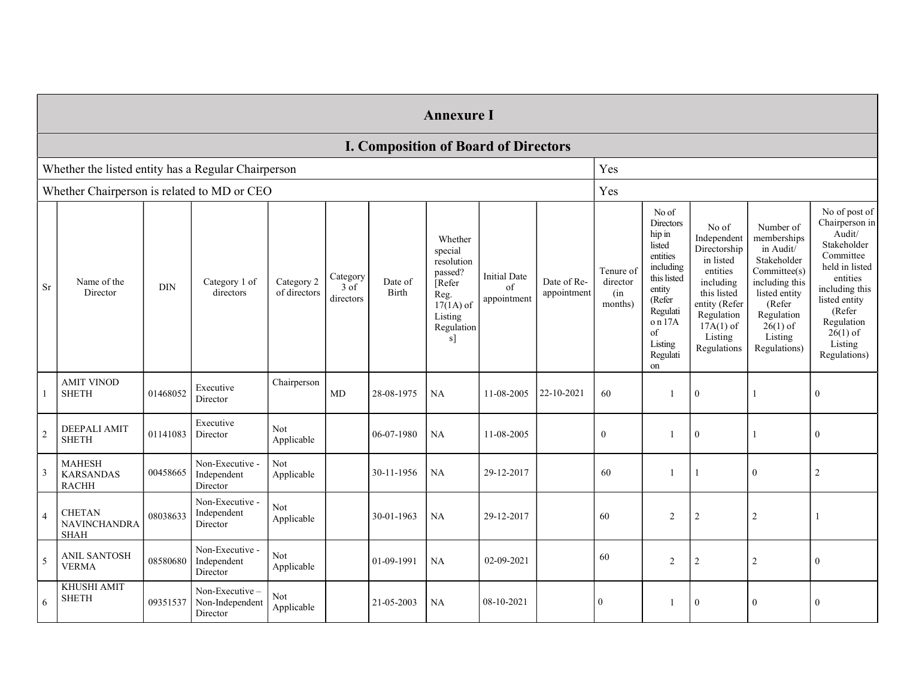|                | <b>Annexure I</b>                                 |                                                     |                                               |                            |                                         |                  |                                                                                                            |                                             |                            |                                         |                                                                                                                                                                  |                                                                                                                                                                   |                                                                                                                                                                          |                                                                                                                                                                                                         |
|----------------|---------------------------------------------------|-----------------------------------------------------|-----------------------------------------------|----------------------------|-----------------------------------------|------------------|------------------------------------------------------------------------------------------------------------|---------------------------------------------|----------------------------|-----------------------------------------|------------------------------------------------------------------------------------------------------------------------------------------------------------------|-------------------------------------------------------------------------------------------------------------------------------------------------------------------|--------------------------------------------------------------------------------------------------------------------------------------------------------------------------|---------------------------------------------------------------------------------------------------------------------------------------------------------------------------------------------------------|
|                |                                                   |                                                     |                                               |                            |                                         |                  |                                                                                                            | <b>I. Composition of Board of Directors</b> |                            |                                         |                                                                                                                                                                  |                                                                                                                                                                   |                                                                                                                                                                          |                                                                                                                                                                                                         |
|                |                                                   | Whether the listed entity has a Regular Chairperson |                                               |                            |                                         |                  | Yes                                                                                                        |                                             |                            |                                         |                                                                                                                                                                  |                                                                                                                                                                   |                                                                                                                                                                          |                                                                                                                                                                                                         |
|                | Whether Chairperson is related to MD or CEO       |                                                     |                                               |                            |                                         |                  |                                                                                                            |                                             |                            | Yes                                     |                                                                                                                                                                  |                                                                                                                                                                   |                                                                                                                                                                          |                                                                                                                                                                                                         |
| Sr             | Name of the<br>Director                           | $\rm{DIN}$                                          | Category 1 of<br>directors                    | Category 2<br>of directors | Category<br>$3 \text{ of}$<br>directors | Date of<br>Birth | Whether<br>special<br>resolution<br>passed?<br>Refer<br>Reg.<br>$17(1A)$ of<br>Listing<br>Regulation<br>s] | <b>Initial Date</b><br>of<br>appointment    | Date of Re-<br>appointment | Tenure of<br>director<br>(in<br>months) | No of<br>Directors<br>hip in<br>listed<br>entities<br>including<br>this listed<br>entity<br>(Refer<br>Regulati<br>$\,$ on 17A<br>of<br>Listing<br>Regulati<br>on | No of<br>Independent<br>Directorship<br>in listed<br>entities<br>including<br>this listed<br>entity (Refer<br>Regulation<br>$17A(1)$ of<br>Listing<br>Regulations | Number of<br>memberships<br>in Audit/<br>Stakeholder<br>Committee(s)<br>including this<br>listed entity<br>(Refer<br>Regulation<br>$26(1)$ of<br>Listing<br>Regulations) | No of post of<br>Chairperson in<br>Audit/<br>Stakeholder<br>Committee<br>held in listed<br>entities<br>including this<br>listed entity<br>(Refer<br>Regulation<br>$26(1)$ of<br>Listing<br>Regulations) |
|                | <b>AMIT VINOD</b><br><b>SHETH</b>                 | 01468052                                            | Executive<br>Director                         | Chairperson                | MD                                      | 28-08-1975       | NA                                                                                                         | 11-08-2005                                  | 22-10-2021                 | 60                                      | -1                                                                                                                                                               | $\overline{0}$                                                                                                                                                    |                                                                                                                                                                          | $\mathbf{0}$                                                                                                                                                                                            |
| $\overline{2}$ | DEEPALI AMIT<br><b>SHETH</b>                      | 01141083                                            | Executive<br>Director                         | Not<br>Applicable          |                                         | 06-07-1980       | <b>NA</b>                                                                                                  | 11-08-2005                                  |                            | $\mathbf{0}$                            | -1                                                                                                                                                               | $\mathbf{0}$                                                                                                                                                      |                                                                                                                                                                          | $\mathbf{0}$                                                                                                                                                                                            |
| 3              | <b>MAHESH</b><br><b>KARSANDAS</b><br><b>RACHH</b> | 00458665                                            | Non-Executive -<br>Independent<br>Director    | Not<br>Applicable          |                                         | 30-11-1956       | NA                                                                                                         | 29-12-2017                                  |                            | 60                                      | $\mathbf{1}$                                                                                                                                                     |                                                                                                                                                                   | $\mathbf{0}$                                                                                                                                                             | $\overline{2}$                                                                                                                                                                                          |
| $\overline{4}$ | <b>CHETAN</b><br>NAVINCHANDRA<br><b>SHAH</b>      | 08038633                                            | Non-Executive -<br>Independent<br>Director    | Not<br>Applicable          |                                         | 30-01-1963       | NA                                                                                                         | 29-12-2017                                  |                            | 60                                      | $\overline{c}$                                                                                                                                                   | $\sqrt{2}$                                                                                                                                                        | $\sqrt{2}$                                                                                                                                                               |                                                                                                                                                                                                         |
| 5              | <b>ANIL SANTOSH</b><br><b>VERMA</b>               | 08580680                                            | Non-Executive -<br>Independent<br>Director    | Not<br>Applicable          |                                         | 01-09-1991       | <b>NA</b>                                                                                                  | 02-09-2021                                  |                            | 60                                      | $\mathfrak{2}$                                                                                                                                                   | $\overline{2}$                                                                                                                                                    | $\overline{2}$                                                                                                                                                           | $\boldsymbol{0}$                                                                                                                                                                                        |
| 6              | <b>KHUSHI AMIT</b><br><b>SHETH</b>                | 09351537                                            | Non-Executive-<br>Non-Independent<br>Director | Not<br>Applicable          |                                         | 21-05-2003       | NA                                                                                                         | 08-10-2021                                  |                            | $\boldsymbol{0}$                        | -1                                                                                                                                                               | $\mathbf{0}$                                                                                                                                                      | $\boldsymbol{0}$                                                                                                                                                         | $\boldsymbol{0}$                                                                                                                                                                                        |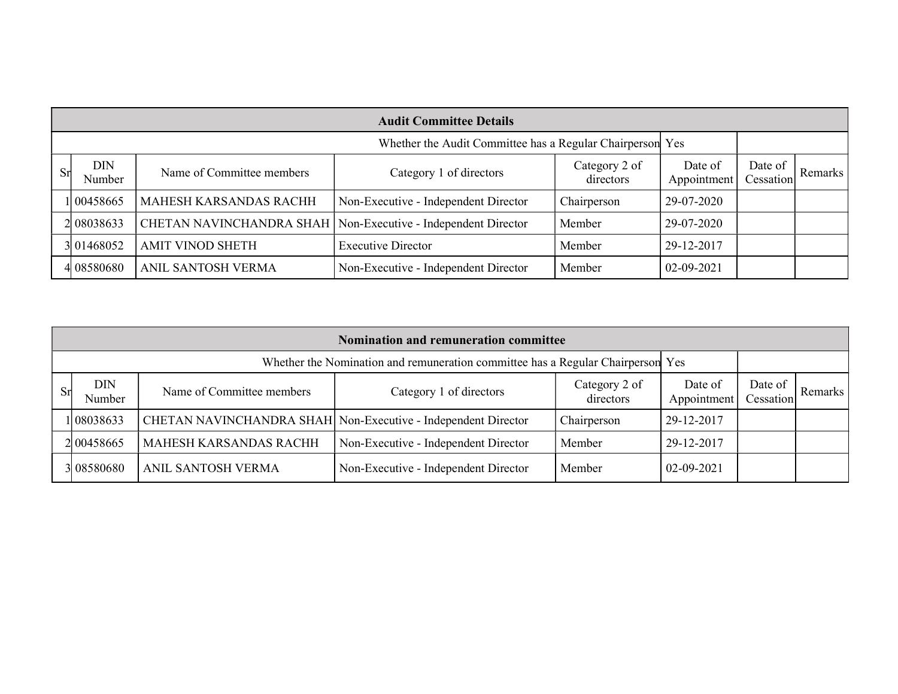|    | <b>Audit Committee Details</b>                            |                           |                                                                 |                            |                        |                      |         |  |  |  |
|----|-----------------------------------------------------------|---------------------------|-----------------------------------------------------------------|----------------------------|------------------------|----------------------|---------|--|--|--|
|    | Whether the Audit Committee has a Regular Chairperson Yes |                           |                                                                 |                            |                        |                      |         |  |  |  |
| Sr | <b>DIN</b><br>Number                                      | Name of Committee members | Category 1 of directors                                         | Category 2 of<br>directors | Date of<br>Appointment | Date of<br>Cessation | Remarks |  |  |  |
|    | 1 00458665                                                | MAHESH KARSANDAS RACHH    | Non-Executive - Independent Director                            | Chairperson                | 29-07-2020             |                      |         |  |  |  |
|    | 2 08038633                                                |                           | CHETAN NAVINCHANDRA SHAH   Non-Executive - Independent Director | Member                     | 29-07-2020             |                      |         |  |  |  |
|    | 3 01468052                                                | <b>AMIT VINOD SHETH</b>   | <b>Executive Director</b>                                       | Member                     | 29-12-2017             |                      |         |  |  |  |
|    | 4 08580680                                                | ANIL SANTOSH VERMA        | Non-Executive - Independent Director                            | Member                     | 02-09-2021             |                      |         |  |  |  |

|    | Nomination and remuneration committee                                           |                           |                                                               |                            |                        |                      |         |  |  |  |
|----|---------------------------------------------------------------------------------|---------------------------|---------------------------------------------------------------|----------------------------|------------------------|----------------------|---------|--|--|--|
|    | Whether the Nomination and remuneration committee has a Regular Chairperson Yes |                           |                                                               |                            |                        |                      |         |  |  |  |
| Sr | <b>DIN</b><br>Number                                                            | Name of Committee members | Category 1 of directors                                       | Category 2 of<br>directors | Date of<br>Appointment | Date of<br>Cessation | Remarks |  |  |  |
|    | 1 08038633                                                                      |                           | CHETAN NAVINCHANDRA SHAH Non-Executive - Independent Director | Chairperson                | 29-12-2017             |                      |         |  |  |  |
|    | 2 0 0 4 5 8 6 6 5                                                               | MAHESH KARSANDAS RACHH    | Non-Executive - Independent Director                          | Member                     | 29-12-2017             |                      |         |  |  |  |
|    | 3 08580680                                                                      | ANIL SANTOSH VERMA        | Non-Executive - Independent Director                          | Member                     | 02-09-2021             |                      |         |  |  |  |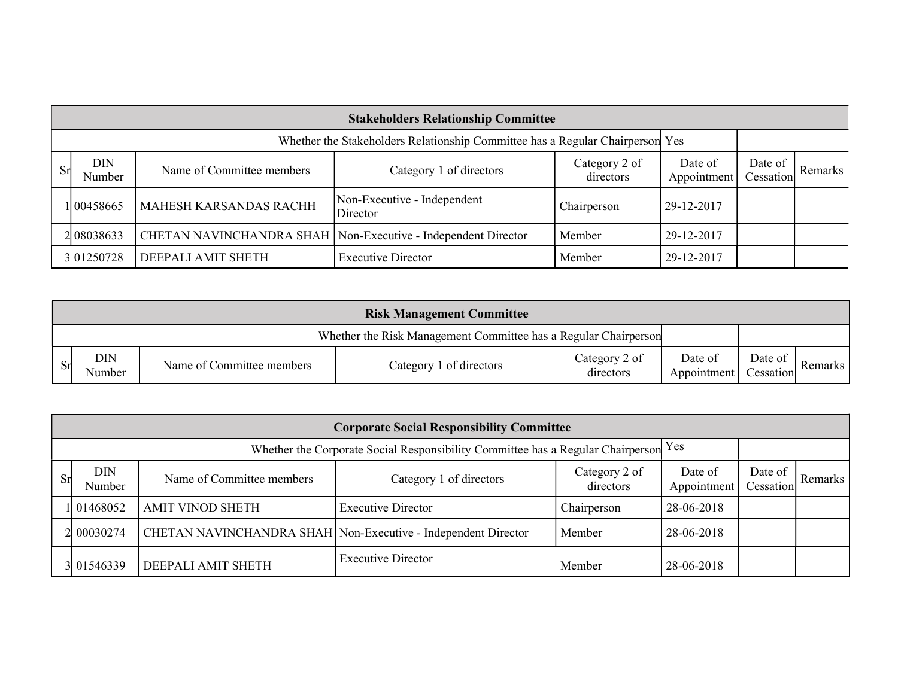|     | <b>Stakeholders Relationship Committee</b>                                    |                                                                 |                                         |                            |                        |                      |         |  |  |  |
|-----|-------------------------------------------------------------------------------|-----------------------------------------------------------------|-----------------------------------------|----------------------------|------------------------|----------------------|---------|--|--|--|
|     | Whether the Stakeholders Relationship Committee has a Regular Chairperson Yes |                                                                 |                                         |                            |                        |                      |         |  |  |  |
| Srl | <b>DIN</b><br>Number                                                          | Name of Committee members                                       | Category 1 of directors                 | Category 2 of<br>directors | Date of<br>Appointment | Date of<br>Cessation | Remarks |  |  |  |
|     | 1 00458665                                                                    | <b>MAHESH KARSANDAS RACHH</b>                                   | Non-Executive - Independent<br>Director | Chairperson                | 29-12-2017             |                      |         |  |  |  |
|     | 2 08038633                                                                    | CHETAN NAVINCHANDRA SHAH   Non-Executive - Independent Director |                                         | Member                     | 29-12-2017             |                      |         |  |  |  |
|     | 3 01250728                                                                    | DEEPALI AMIT SHETH                                              | <b>Executive Director</b>               | Member                     | 29-12-2017             |                      |         |  |  |  |

|    | <b>Risk Management Committee</b>                                |                           |                         |                            |                        |                      |           |  |  |
|----|-----------------------------------------------------------------|---------------------------|-------------------------|----------------------------|------------------------|----------------------|-----------|--|--|
|    | Whether the Risk Management Committee has a Regular Chairperson |                           |                         |                            |                        |                      |           |  |  |
| Sr | <b>DIN</b><br>Number                                            | Name of Committee members | Category 1 of directors | Category 2 of<br>directors | Date of<br>Appointment | Date of<br>Cessation | Remarks I |  |  |

|    | <b>Corporate Social Responsibility Committee</b>                                    |                           |                                                               |                            |                        |                      |                      |  |  |  |
|----|-------------------------------------------------------------------------------------|---------------------------|---------------------------------------------------------------|----------------------------|------------------------|----------------------|----------------------|--|--|--|
|    | Whether the Corporate Social Responsibility Committee has a Regular Chairperson Yes |                           |                                                               |                            |                        |                      |                      |  |  |  |
| Sr | <b>DIN</b><br>Number                                                                | Name of Committee members | Category 1 of directors                                       | Category 2 of<br>directors | Date of<br>Appointment | Date of<br>Cessation | Remarks <sup>1</sup> |  |  |  |
|    | 01468052                                                                            | <b>AMIT VINOD SHETH</b>   | <b>Executive Director</b>                                     | Chairperson                | 28-06-2018             |                      |                      |  |  |  |
|    | 2 00030274                                                                          |                           | CHETAN NAVINCHANDRA SHAH Non-Executive - Independent Director | Member                     | 28-06-2018             |                      |                      |  |  |  |
|    | 3 01546339                                                                          | DEEPALI AMIT SHETH        | <b>Executive Director</b>                                     | Member                     | 28-06-2018             |                      |                      |  |  |  |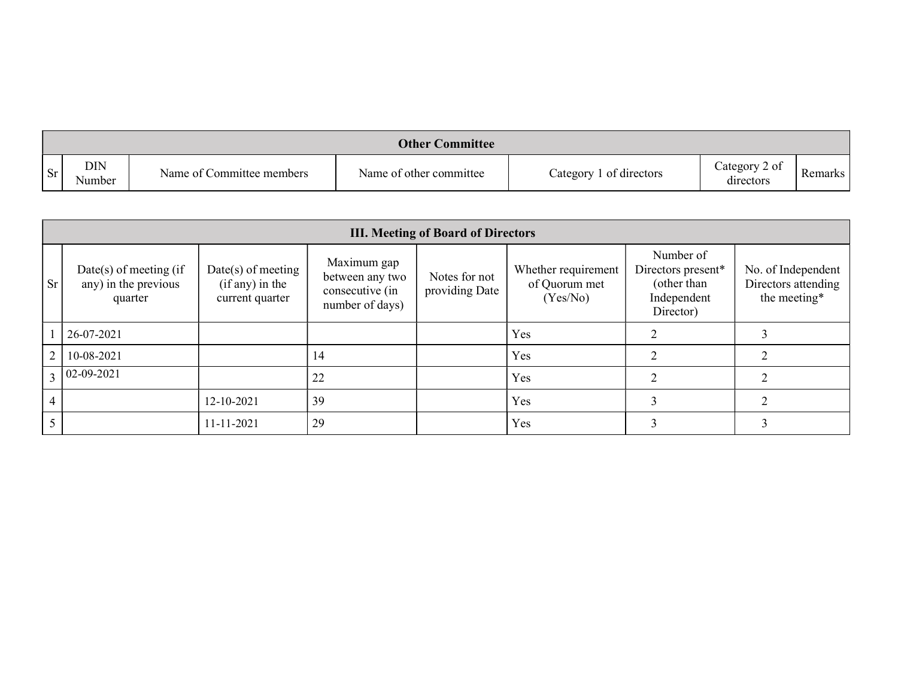|           |                      |                           | <b>Other Committee</b>  |                         |                            |         |
|-----------|----------------------|---------------------------|-------------------------|-------------------------|----------------------------|---------|
| <b>Sr</b> | <b>DIN</b><br>Number | Name of Committee members | Name of other committee | Category 1 of directors | Category 2 of<br>directors | Remarks |

|           | <b>III. Meeting of Board of Directors</b>                    |                                                              |                                                                      |                                 |                                                  |                                                                            |                                                           |  |  |
|-----------|--------------------------------------------------------------|--------------------------------------------------------------|----------------------------------------------------------------------|---------------------------------|--------------------------------------------------|----------------------------------------------------------------------------|-----------------------------------------------------------|--|--|
| <b>Sr</b> | Date(s) of meeting $(if)$<br>any) in the previous<br>quarter | $Date(s)$ of meeting<br>$(if any)$ in the<br>current quarter | Maximum gap<br>between any two<br>consecutive (in<br>number of days) | Notes for not<br>providing Date | Whether requirement<br>of Quorum met<br>(Yes/No) | Number of<br>Directors present*<br>(other than<br>Independent<br>Director) | No. of Independent<br>Directors attending<br>the meeting* |  |  |
|           | 26-07-2021                                                   |                                                              |                                                                      |                                 | Yes                                              |                                                                            |                                                           |  |  |
|           | 10-08-2021                                                   |                                                              | 14                                                                   |                                 | Yes                                              |                                                                            |                                                           |  |  |
|           | $02 - 09 - 2021$                                             |                                                              | 22                                                                   |                                 | Yes                                              |                                                                            |                                                           |  |  |
|           |                                                              | 12-10-2021                                                   | 39                                                                   |                                 | Yes                                              |                                                                            |                                                           |  |  |
|           |                                                              | 11-11-2021                                                   | 29                                                                   |                                 | Yes                                              |                                                                            |                                                           |  |  |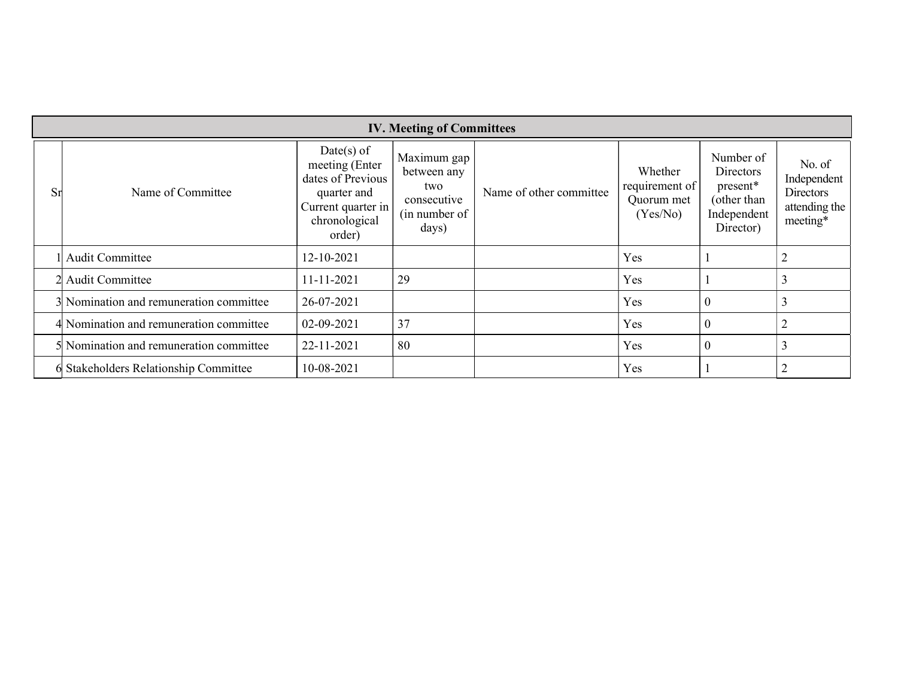|           |                                         |                                                                                                                     | <b>IV. Meeting of Committees</b>                                           |                         |                                                     |                                                                               |                                                                        |
|-----------|-----------------------------------------|---------------------------------------------------------------------------------------------------------------------|----------------------------------------------------------------------------|-------------------------|-----------------------------------------------------|-------------------------------------------------------------------------------|------------------------------------------------------------------------|
| <b>Sr</b> | Name of Committee                       | $Date(s)$ of<br>meeting (Enter<br>dates of Previous<br>quarter and<br>Current quarter in<br>chronological<br>order) | Maximum gap<br>between any<br>two<br>consecutive<br>(in number of<br>days) | Name of other committee | Whether<br>requirement of<br>Quorum met<br>(Yes/No) | Number of<br>Directors<br>present*<br>(other than<br>Independent<br>Director) | No. of<br>Independent<br><b>Directors</b><br>attending the<br>meeting* |
|           | <b>Audit Committee</b>                  | 12-10-2021                                                                                                          |                                                                            |                         | Yes                                                 |                                                                               |                                                                        |
|           | 2 Audit Committee                       | 11-11-2021                                                                                                          | 29                                                                         |                         | Yes                                                 |                                                                               | 3                                                                      |
|           | 3 Nomination and remuneration committee | 26-07-2021                                                                                                          |                                                                            |                         | Yes                                                 | $\boldsymbol{0}$                                                              | 3                                                                      |
|           | 4 Nomination and remuneration committee | 02-09-2021                                                                                                          | 37                                                                         |                         | Yes                                                 | $\boldsymbol{0}$                                                              | $\overline{2}$                                                         |
|           | 5 Nomination and remuneration committee | 22-11-2021                                                                                                          | 80                                                                         |                         | Yes                                                 | $\mathbf{0}$                                                                  | 3                                                                      |
|           | 6 Stakeholders Relationship Committee   | 10-08-2021                                                                                                          |                                                                            |                         | Yes                                                 |                                                                               | 2                                                                      |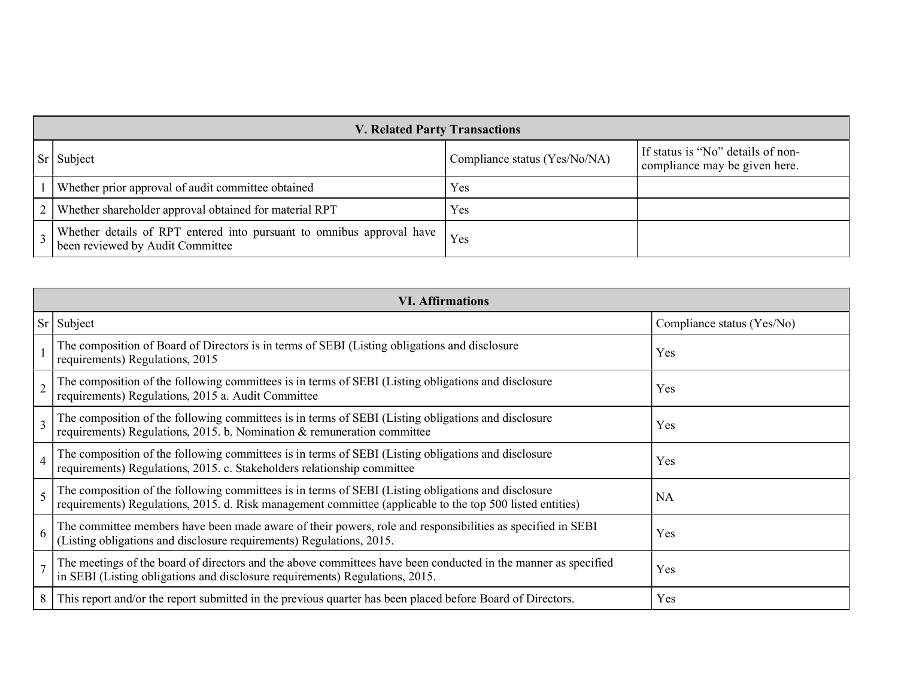| <b>V. Related Party Transactions</b>                                                                          |                               |                                                                    |
|---------------------------------------------------------------------------------------------------------------|-------------------------------|--------------------------------------------------------------------|
| Sr Subject                                                                                                    | Compliance status (Yes/No/NA) | If status is "No" details of non-<br>compliance may be given here. |
| Whether prior approval of audit committee obtained                                                            | Yes                           |                                                                    |
| Whether shareholder approval obtained for material RPT                                                        | Yes                           |                                                                    |
| Whether details of RPT entered into pursuant to omnibus approval have Yes<br>been reviewed by Audit Committee |                               |                                                                    |

|                | <b>VI. Affirmations</b>                                                                                                                                                                                          |                            |
|----------------|------------------------------------------------------------------------------------------------------------------------------------------------------------------------------------------------------------------|----------------------------|
| Sr             | Subject                                                                                                                                                                                                          | Compliance status (Yes/No) |
|                | The composition of Board of Directors is in terms of SEBI (Listing obligations and disclosure<br>requirements) Regulations, 2015                                                                                 | Yes                        |
|                | The composition of the following committees is in terms of SEBI (Listing obligations and disclosure<br>requirements) Regulations, 2015 a. Audit Committee                                                        | Yes                        |
| 3              | The composition of the following committees is in terms of SEBI (Listing obligations and disclosure<br>requirements) Regulations, 2015. b. Nomination & remuneration committee                                   | Yes                        |
| $\overline{4}$ | The composition of the following committees is in terms of SEBI (Listing obligations and disclosure<br>requirements) Regulations, 2015. c. Stakeholders relationship committee                                   | Yes                        |
| 5              | The composition of the following committees is in terms of SEBI (Listing obligations and disclosure<br>requirements) Regulations, 2015. d. Risk management committee (applicable to the top 500 listed entities) | <b>NA</b>                  |
| 6              | The committee members have been made aware of their powers, role and responsibilities as specified in SEBI<br>(Listing obligations and disclosure requirements) Regulations, 2015.                               | Yes                        |
|                | The meetings of the board of directors and the above committees have been conducted in the manner as specified<br>in SEBI (Listing obligations and disclosure requirements) Regulations, 2015.                   | Yes                        |
| 8              | This report and/or the report submitted in the previous quarter has been placed before Board of Directors.                                                                                                       | Yes                        |